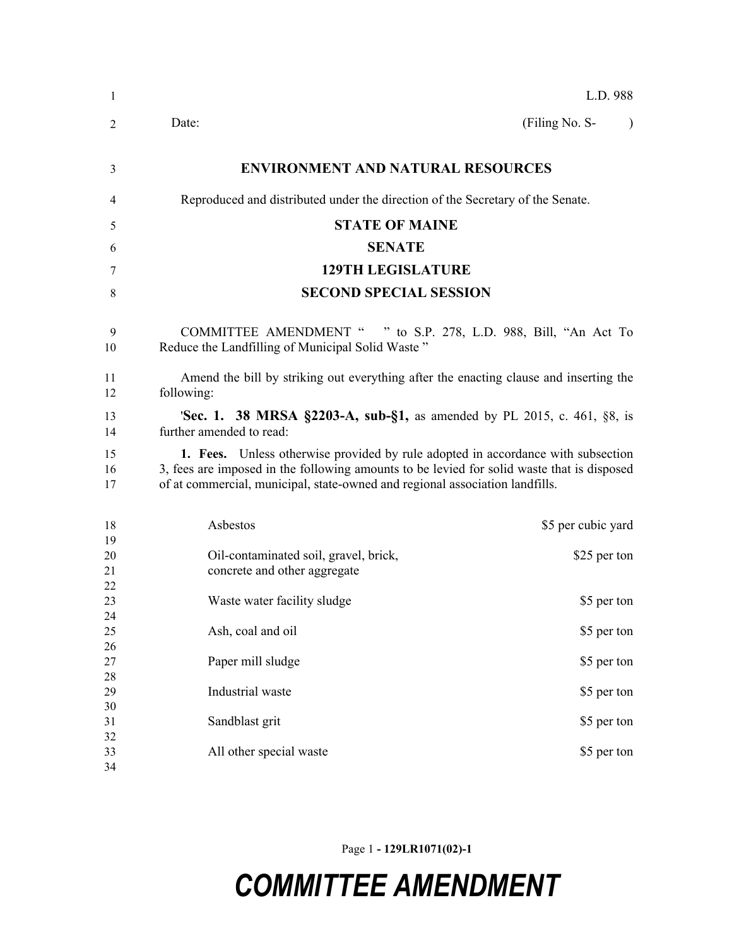| $\mathbf{1}$         |                                                                                                                                                                                                                                                                | L.D. 988                    |
|----------------------|----------------------------------------------------------------------------------------------------------------------------------------------------------------------------------------------------------------------------------------------------------------|-----------------------------|
| 2                    | Date:                                                                                                                                                                                                                                                          | (Filing No. S-<br>$\lambda$ |
| 3                    | <b>ENVIRONMENT AND NATURAL RESOURCES</b>                                                                                                                                                                                                                       |                             |
| 4                    | Reproduced and distributed under the direction of the Secretary of the Senate.                                                                                                                                                                                 |                             |
| 5                    | <b>STATE OF MAINE</b>                                                                                                                                                                                                                                          |                             |
| 6                    | <b>SENATE</b>                                                                                                                                                                                                                                                  |                             |
| 7                    | <b>129TH LEGISLATURE</b>                                                                                                                                                                                                                                       |                             |
| 8                    | <b>SECOND SPECIAL SESSION</b>                                                                                                                                                                                                                                  |                             |
| 9<br>10              | COMMITTEE AMENDMENT " " to S.P. 278, L.D. 988, Bill, "An Act To<br>Reduce the Landfilling of Municipal Solid Waste"                                                                                                                                            |                             |
| 11<br>12             | Amend the bill by striking out everything after the enacting clause and inserting the<br>following:                                                                                                                                                            |                             |
| 13<br>14             | <b>Sec. 1. 38 MRSA §2203-A, sub-§1,</b> as amended by PL 2015, c. 461, §8, is<br>further amended to read:                                                                                                                                                      |                             |
| 15<br>16<br>17       | 1. Fees. Unless otherwise provided by rule adopted in accordance with subsection<br>3, fees are imposed in the following amounts to be levied for solid waste that is disposed<br>of at commercial, municipal, state-owned and regional association landfills. |                             |
| 18                   | Asbestos                                                                                                                                                                                                                                                       | \$5 per cubic yard          |
| 19<br>20<br>21<br>22 | Oil-contaminated soil, gravel, brick,<br>concrete and other aggregate                                                                                                                                                                                          | \$25 per ton                |
| 23<br>24             | Waste water facility sludge                                                                                                                                                                                                                                    | \$5 per ton                 |
| 25<br>26             | Ash, coal and oil                                                                                                                                                                                                                                              | \$5 per ton                 |
| 27<br>28             | Paper mill sludge                                                                                                                                                                                                                                              | \$5 per ton                 |
| 29<br>30             | Industrial waste                                                                                                                                                                                                                                               | \$5 per ton                 |
| 31<br>32<br>33       | Sandblast grit<br>All other special waste                                                                                                                                                                                                                      | \$5 per ton                 |
| 34                   |                                                                                                                                                                                                                                                                | \$5 per ton                 |

Page 1 **- 129LR1071(02)-1**

## *COMMITTEE AMENDMENT*